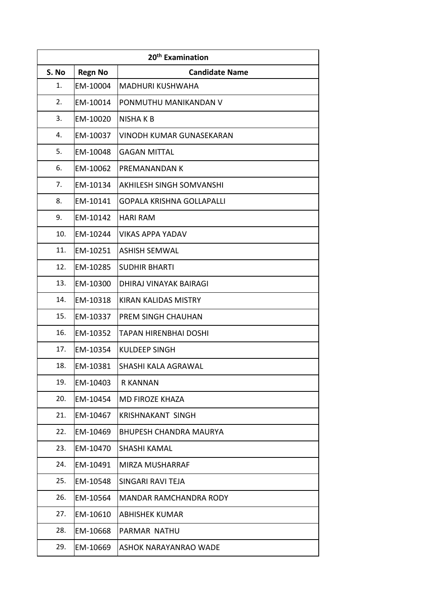| 20 <sup>th</sup> Examination |                |                                  |
|------------------------------|----------------|----------------------------------|
| S. No                        | <b>Regn No</b> | <b>Candidate Name</b>            |
| 1.                           | EM-10004       | <b>MADHURI KUSHWAHA</b>          |
| 2.                           | EM-10014       | PONMUTHU MANIKANDAN V            |
| 3.                           | EM-10020       | NISHA K B                        |
| 4.                           | EM-10037       | VINODH KUMAR GUNASEKARAN         |
| 5.                           | EM-10048       | <b>GAGAN MITTAL</b>              |
| 6.                           | EM-10062       | PREMANANDAN K                    |
| 7.                           | EM-10134       | <b>AKHILESH SINGH SOMVANSHI</b>  |
| 8.                           | EM-10141       | <b>GOPALA KRISHNA GOLLAPALLI</b> |
| 9.                           | EM-10142       | <b>HARI RAM</b>                  |
| 10.                          | EM-10244       | <b>VIKAS APPA YADAV</b>          |
| 11.                          | EM-10251       | <b>ASHISH SEMWAL</b>             |
| 12.                          | EM-10285       | <b>SUDHIR BHARTI</b>             |
| 13.                          | EM-10300       | DHIRAJ VINAYAK BAIRAGI           |
| 14.                          | EM-10318       | <b>KIRAN KALIDAS MISTRY</b>      |
| 15.                          | EM-10337       | PREM SINGH CHAUHAN               |
| 16.                          | EM-10352       | <b>TAPAN HIRENBHAI DOSHI</b>     |
| 17.                          | EM-10354       | <b>KULDEEP SINGH</b>             |
| 18.                          | EM-10381       | SHASHI KALA AGRAWAL              |
| 19.                          | EM-10403       | <b>R KANNAN</b>                  |
| 20.                          | EM-10454       | <b>MD FIROZE KHAZA</b>           |
| 21.                          | EM-10467       | <b>KRISHNAKANT SINGH</b>         |
| 22.                          | EM-10469       | <b>BHUPESH CHANDRA MAURYA</b>    |
| 23.                          | EM-10470       | <b>SHASHI KAMAL</b>              |
| 24.                          | EM-10491       | MIRZA MUSHARRAF                  |
| 25.                          | EM-10548       | SINGARI RAVI TEJA                |
| 26.                          | EM-10564       | <b>MANDAR RAMCHANDRA RODY</b>    |
| 27.                          | EM-10610       | <b>ABHISHEK KUMAR</b>            |
| 28.                          | EM-10668       | PARMAR NATHU                     |
| 29.                          | EM-10669       | ASHOK NARAYANRAO WADE            |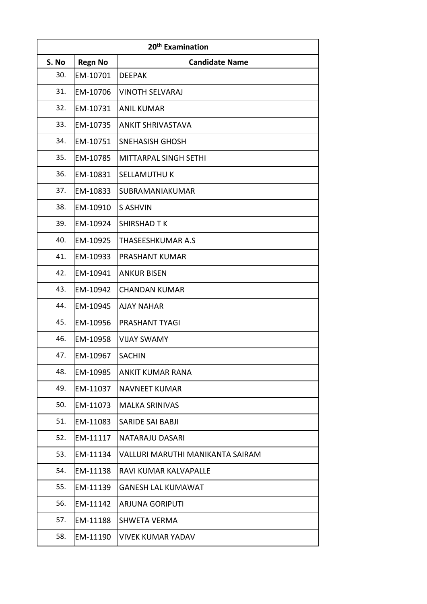| 20 <sup>th</sup> Examination |                |                                  |
|------------------------------|----------------|----------------------------------|
| S. No                        | <b>Regn No</b> | <b>Candidate Name</b>            |
| 30.                          | EM-10701       | <b>DEEPAK</b>                    |
| 31.                          | EM-10706       | <b>VINOTH SELVARAJ</b>           |
| 32.                          | EM-10731       | <b>ANIL KUMAR</b>                |
| 33.                          | EM-10735       | <b>ANKIT SHRIVASTAVA</b>         |
| 34.                          | EM-10751       | <b>SNEHASISH GHOSH</b>           |
| 35.                          | EM-10785       | <b>MITTARPAL SINGH SETHI</b>     |
| 36.                          | EM-10831       | <b>SELLAMUTHU K</b>              |
| 37.                          | EM-10833       | SUBRAMANIAKUMAR                  |
| 38.                          | EM-10910       | S ASHVIN                         |
| 39.                          | EM-10924       | <b>SHIRSHAD T K</b>              |
| 40.                          | EM-10925       | THASEESHKUMAR A.S                |
| 41.                          | EM-10933       | PRASHANT KUMAR                   |
| 42.                          | EM-10941       | <b>ANKUR BISEN</b>               |
| 43.                          | EM-10942       | <b>CHANDAN KUMAR</b>             |
| 44.                          | EM-10945       | <b>AJAY NAHAR</b>                |
| 45.                          | EM-10956       | <b>PRASHANT TYAGI</b>            |
| 46.                          | EM-10958       | <b>VIJAY SWAMY</b>               |
| 47.                          | EM-10967       | <b>SACHIN</b>                    |
| 48.                          | EM-10985       | <b>ANKIT KUMAR RANA</b>          |
| 49.                          | EM-11037       | <b>NAVNEET KUMAR</b>             |
| 50.                          | EM-11073       | <b>MALKA SRINIVAS</b>            |
| 51.                          | EM-11083       | <b>SARIDE SAI BABJI</b>          |
| 52.                          | EM-11117       | NATARAJU DASARI                  |
| 53.                          | EM-11134       | VALLURI MARUTHI MANIKANTA SAIRAM |
| 54.                          | EM-11138       | RAVI KUMAR KALVAPALLE            |
| 55.                          | EM-11139       | <b>GANESH LAL KUMAWAT</b>        |
| 56.                          | EM-11142       | <b>ARJUNA GORIPUTI</b>           |
| 57.                          | EM-11188       | SHWETA VERMA                     |
| 58.                          | EM-11190       | <b>VIVEK KUMAR YADAV</b>         |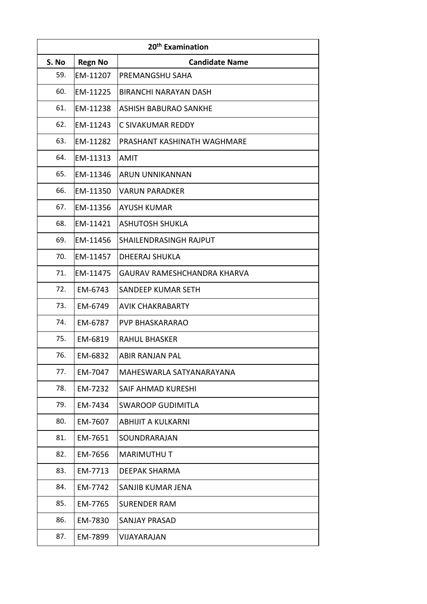| 20 <sup>th</sup> Examination |                |                                    |
|------------------------------|----------------|------------------------------------|
| S. No                        | <b>Regn No</b> | <b>Candidate Name</b>              |
| 59.                          | EM-11207       | PREMANGSHU SAHA                    |
| 60.                          | EM-11225       | <b>BIRANCHI NARAYAN DASH</b>       |
| 61.                          | EM-11238       | <b>ASHISH BABURAO SANKHE</b>       |
| 62.                          | EM-11243       | C SIVAKUMAR REDDY                  |
| 63.                          | EM-11282       | PRASHANT KASHINATH WAGHMARE        |
| 64.                          | EM-11313       | <b>AMIT</b>                        |
| 65.                          | EM-11346       | ARUN UNNIKANNAN                    |
| 66.                          | EM-11350       | <b>VARUN PARADKER</b>              |
| 67.                          | EM-11356       | <b>AYUSH KUMAR</b>                 |
| 68.                          | EM-11421       | <b>ASHUTOSH SHUKLA</b>             |
| 69.                          | EM-11456       | SHAILENDRASINGH RAJPUT             |
| 70.                          | EM-11457       | <b>DHEERAJ SHUKLA</b>              |
| 71.                          | EM-11475       | <b>GAURAV RAMESHCHANDRA KHARVA</b> |
| 72.                          | EM-6743        | SANDEEP KUMAR SETH                 |
| 73.                          | EM-6749        | <b>AVIK CHAKRABARTY</b>            |
| 74.                          | EM-6787        | <b>PVP BHASKARARAO</b>             |
| 75.                          | EM-6819        | <b>RAHUL BHASKER</b>               |
| 76.                          | EM-6832        | <b>ABIR RANJAN PAL</b>             |
| 77.                          | EM-7047        | MAHESWARLA SATYANARAYANA           |
| 78.                          | EM-7232        | SAIF AHMAD KURESHI                 |
| 79.                          | EM-7434        | <b>SWAROOP GUDIMITLA</b>           |
| 80.                          | EM-7607        | <b>ABHIJIT A KULKARNI</b>          |
| 81.                          | EM-7651        | SOUNDRARAJAN                       |
| 82.                          | EM-7656        | <b>MARIMUTHUT</b>                  |
| 83.                          | EM-7713        | DEEPAK SHARMA                      |
| 84.                          | EM-7742        | SANJIB KUMAR JENA                  |
| 85.                          | EM-7765        | <b>SURENDER RAM</b>                |
| 86.                          | EM-7830        | <b>SANJAY PRASAD</b>               |
| 87.                          | EM-7899        | VIJAYARAJAN                        |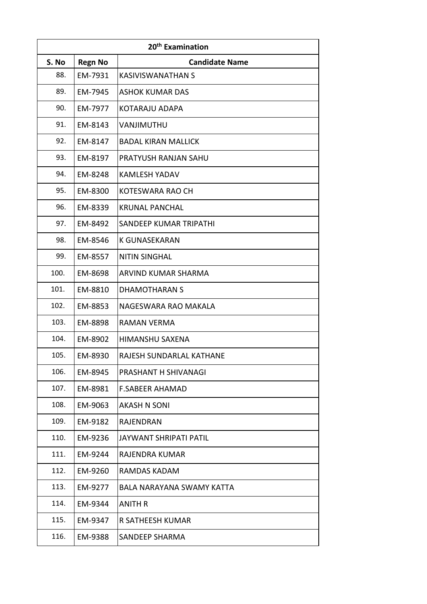| 20 <sup>th</sup> Examination |                |                                  |
|------------------------------|----------------|----------------------------------|
| S. No                        | <b>Regn No</b> | <b>Candidate Name</b>            |
| 88.                          | EM-7931        | <b>KASIVISWANATHAN S</b>         |
| 89.                          | EM-7945        | <b>ASHOK KUMAR DAS</b>           |
| 90.                          | EM-7977        | KOTARAJU ADAPA                   |
| 91.                          | EM-8143        | VANJIMUTHU                       |
| 92.                          | EM-8147        | <b>BADAL KIRAN MALLICK</b>       |
| 93.                          | EM-8197        | PRATYUSH RANJAN SAHU             |
| 94.                          | EM-8248        | <b>KAMLESH YADAV</b>             |
| 95.                          | EM-8300        | KOTESWARA RAO CH                 |
| 96.                          | EM-8339        | <b>KRUNAL PANCHAL</b>            |
| 97.                          | EM-8492        | SANDEEP KUMAR TRIPATHI           |
| 98.                          | EM-8546        | <b>K GUNASEKARAN</b>             |
| 99.                          | EM-8557        | <b>NITIN SINGHAL</b>             |
| 100.                         | EM-8698        | ARVIND KUMAR SHARMA              |
| 101.                         | EM-8810        | <b>DHAMOTHARAN S</b>             |
| 102.                         | EM-8853        | NAGESWARA RAO MAKALA             |
| 103.                         | EM-8898        | RAMAN VERMA                      |
| 104.                         | EM-8902        | <b>HIMANSHU SAXENA</b>           |
| 105.                         | EM-8930        | RAJESH SUNDARLAL KATHANE         |
| 106.                         | EM-8945        | PRASHANT H SHIVANAGI             |
| 107.                         | EM-8981        | <b>F.SABEER AHAMAD</b>           |
| 108.                         | EM-9063        | <b>AKASH N SONI</b>              |
| 109.                         | EM-9182        | <b>RAJENDRAN</b>                 |
| 110.                         | EM-9236        | <b>JAYWANT SHRIPATI PATIL</b>    |
| 111.                         | EM-9244        | RAJENDRA KUMAR                   |
| 112.                         | EM-9260        | RAMDAS KADAM                     |
| 113.                         | EM-9277        | <b>BALA NARAYANA SWAMY KATTA</b> |
| 114.                         | EM-9344        | <b>ANITH R</b>                   |
| 115.                         | EM-9347        | R SATHEESH KUMAR                 |
| 116.                         | EM-9388        | SANDEEP SHARMA                   |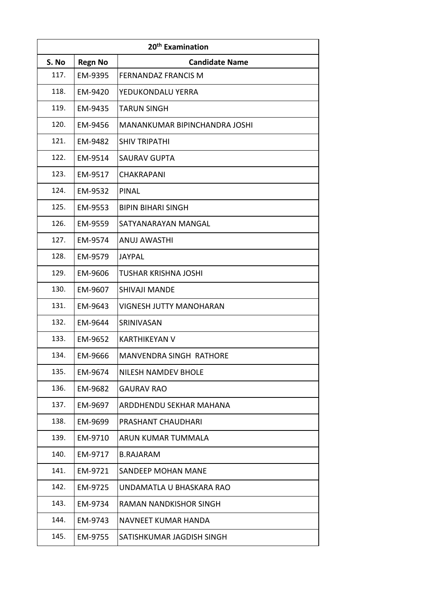| 20 <sup>th</sup> Examination |                |                                      |
|------------------------------|----------------|--------------------------------------|
| S. No                        | <b>Regn No</b> | <b>Candidate Name</b>                |
| 117.                         | EM-9395        | <b>FERNANDAZ FRANCIS M</b>           |
| 118.                         | EM-9420        | YEDUKONDALU YERRA                    |
| 119.                         | EM-9435        | TARUN SINGH                          |
| 120.                         | EM-9456        | <b>MANANKUMAR BIPINCHANDRA JOSHI</b> |
| 121.                         | EM-9482        | <b>SHIV TRIPATHI</b>                 |
| 122.                         | EM-9514        | <b>SAURAV GUPTA</b>                  |
| 123.                         | EM-9517        | CHAKRAPANI                           |
| 124.                         | EM-9532        | PINAL                                |
| 125.                         | EM-9553        | <b>BIPIN BIHARI SINGH</b>            |
| 126.                         | EM-9559        | SATYANARAYAN MANGAL                  |
| 127.                         | EM-9574        | <b>ANUJ AWASTHI</b>                  |
| 128.                         | EM-9579        | <b>JAYPAL</b>                        |
| 129.                         | EM-9606        | TUSHAR KRISHNA JOSHI                 |
| 130.                         | EM-9607        | <b>SHIVAJI MANDE</b>                 |
| 131.                         | EM-9643        | <b>VIGNESH JUTTY MANOHARAN</b>       |
| 132.                         | EM-9644        | SRINIVASAN                           |
| 133.                         | EM-9652        | <b>KARTHIKEYAN V</b>                 |
| 134.                         | EM-9666        | <b>MANVENDRA SINGH RATHORE</b>       |
| 135.                         | EM-9674        | <b>NILESH NAMDEV BHOLE</b>           |
| 136.                         | EM-9682        | <b>GAURAV RAO</b>                    |
| 137.                         | EM-9697        | ARDDHENDU SEKHAR MAHANA              |
| 138.                         | EM-9699        | PRASHANT CHAUDHARI                   |
| 139.                         | EM-9710        | ARUN KUMAR TUMMALA                   |
| 140.                         | EM-9717        | <b>B.RAJARAM</b>                     |
| 141.                         | EM-9721        | <b>SANDEEP MOHAN MANE</b>            |
| 142.                         | EM-9725        | UNDAMATLA U BHASKARA RAO             |
| 143.                         | EM-9734        | RAMAN NANDKISHOR SINGH               |
| 144.                         | EM-9743        | NAVNEET KUMAR HANDA                  |
| 145.                         | EM-9755        | SATISHKUMAR JAGDISH SINGH            |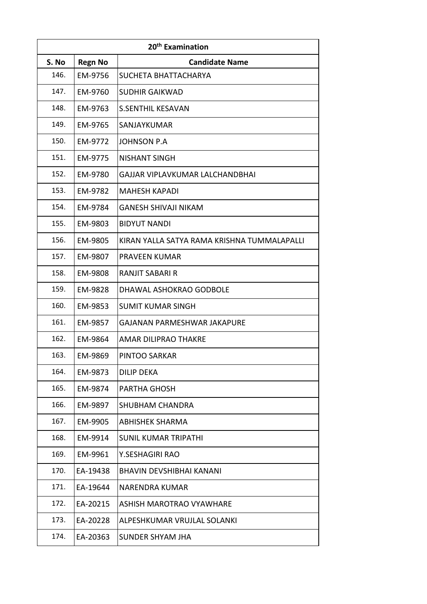| 20 <sup>th</sup> Examination |                |                                             |
|------------------------------|----------------|---------------------------------------------|
| S. No                        | <b>Regn No</b> | <b>Candidate Name</b>                       |
| 146.                         | EM-9756        | SUCHETA BHATTACHARYA                        |
| 147.                         | EM-9760        | <b>SUDHIR GAIKWAD</b>                       |
| 148.                         | EM-9763        | <b>S.SENTHIL KESAVAN</b>                    |
| 149.                         | EM-9765        | SANJAYKUMAR                                 |
| 150.                         | EM-9772        | <b>JOHNSON P.A</b>                          |
| 151.                         | EM-9775        | <b>NISHANT SINGH</b>                        |
| 152.                         | EM-9780        | GAJJAR VIPLAVKUMAR LALCHANDBHAI             |
| 153.                         | EM-9782        | <b>MAHESH KAPADI</b>                        |
| 154.                         | EM-9784        | GANESH SHIVAJI NIKAM                        |
| 155.                         | EM-9803        | <b>BIDYUT NANDI</b>                         |
| 156.                         | EM-9805        | KIRAN YALLA SATYA RAMA KRISHNA TUMMALAPALLI |
| 157.                         | EM-9807        | PRAVEEN KUMAR                               |
| 158.                         | EM-9808        | RANJIT SABARI R                             |
| 159.                         | EM-9828        | DHAWAL ASHOKRAO GODBOLE                     |
| 160.                         | EM-9853        | <b>SUMIT KUMAR SINGH</b>                    |
| 161.                         | EM-9857        | GAJANAN PARMESHWAR JAKAPURE                 |
| 162.                         | EM-9864        | <b>AMAR DILIPRAO THAKRE</b>                 |
| 163.                         | EM-9869        | PINTOO SARKAR                               |
| 164.                         | EM-9873        | DILIP DEKA                                  |
| 165.                         | EM-9874        | PARTHA GHOSH                                |
| 166.                         | EM-9897        | SHUBHAM CHANDRA                             |
| 167.                         | EM-9905        | <b>ABHISHEK SHARMA</b>                      |
| 168.                         | EM-9914        | <b>SUNIL KUMAR TRIPATHI</b>                 |
| 169.                         | EM-9961        | Y.SESHAGIRI RAO                             |
| 170.                         | EA-19438       | BHAVIN DEVSHIBHAI KANANI                    |
| 171.                         | EA-19644       | NARENDRA KUMAR                              |
| 172.                         | EA-20215       | <b>ASHISH MAROTRAO VYAWHARE</b>             |
| 173.                         | EA-20228       | ALPESHKUMAR VRUJLAL SOLANKI                 |
| 174.                         | EA-20363       | <b>SUNDER SHYAM JHA</b>                     |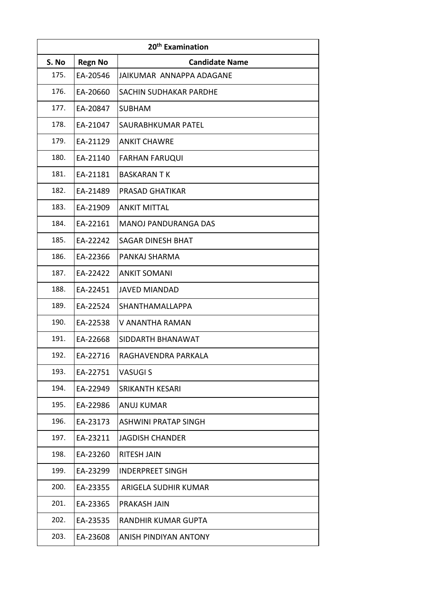| 20 <sup>th</sup> Examination |                |                             |
|------------------------------|----------------|-----------------------------|
| S. No                        | <b>Regn No</b> | <b>Candidate Name</b>       |
| 175.                         | EA-20546       | JAIKUMAR ANNAPPA ADAGANE    |
| 176.                         | EA-20660       | SACHIN SUDHAKAR PARDHE      |
| 177.                         | EA-20847       | <b>SUBHAM</b>               |
| 178.                         | EA-21047       | SAURABHKUMAR PATEL          |
| 179.                         | EA-21129       | <b>ANKIT CHAWRE</b>         |
| 180.                         | EA-21140       | <b>FARHAN FARUQUI</b>       |
| 181.                         | EA-21181       | <b>BASKARAN T K</b>         |
| 182.                         | EA-21489       | PRASAD GHATIKAR             |
| 183.                         | EA-21909       | <b>ANKIT MITTAL</b>         |
| 184.                         | EA-22161       | <b>MANOJ PANDURANGA DAS</b> |
| 185.                         | EA-22242       | <b>SAGAR DINESH BHAT</b>    |
| 186.                         | EA-22366       | PANKAJ SHARMA               |
| 187.                         | EA-22422       | <b>ANKIT SOMANI</b>         |
| 188.                         | EA-22451       | <b>JAVED MIANDAD</b>        |
| 189.                         | EA-22524       | SHANTHAMALLAPPA             |
| 190.                         | EA-22538       | V ANANTHA RAMAN             |
| 191.                         | EA-22668       | SIDDARTH BHANAWAT           |
| 192.                         | EA-22716       | RAGHAVENDRA PARKALA         |
| 193.                         | EA-22751       | VASUGI S                    |
| 194.                         | EA-22949       | SRIKANTH KESARI             |
| 195.                         | EA-22986       | <b>ANUJ KUMAR</b>           |
| 196.                         | EA-23173       | <b>ASHWINI PRATAP SINGH</b> |
| 197.                         | EA-23211       | <b>JAGDISH CHANDER</b>      |
| 198.                         | EA-23260       | <b>RITESH JAIN</b>          |
| 199.                         | EA-23299       | <b>INDERPREET SINGH</b>     |
| 200.                         | EA-23355       | ARIGELA SUDHIR KUMAR        |
| 201.                         | EA-23365       | PRAKASH JAIN                |
| 202.                         | EA-23535       | RANDHIR KUMAR GUPTA         |
| 203.                         | EA-23608       | ANISH PINDIYAN ANTONY       |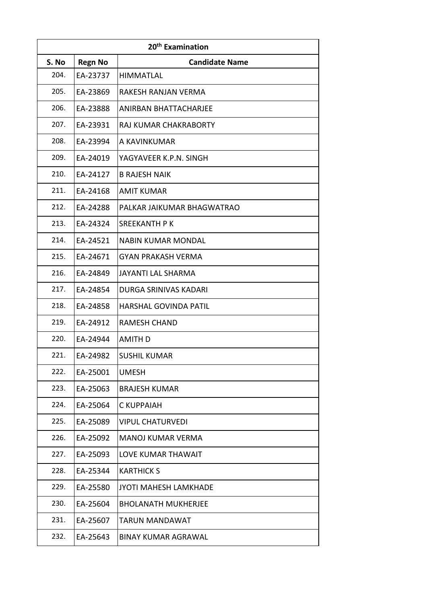| 20 <sup>th</sup> Examination |                |                              |
|------------------------------|----------------|------------------------------|
| S. No                        | <b>Regn No</b> | <b>Candidate Name</b>        |
| 204.                         | EA-23737       | <b>HIMMATLAL</b>             |
| 205.                         | EA-23869       | RAKESH RANJAN VERMA          |
| 206.                         | EA-23888       | ANIRBAN BHATTACHARJEE        |
| 207.                         | EA-23931       | <b>RAJ KUMAR CHAKRABORTY</b> |
| 208.                         | EA-23994       | A KAVINKUMAR                 |
| 209.                         | EA-24019       | YAGYAVEER K.P.N. SINGH       |
| 210.                         | EA-24127       | <b>B RAJESH NAIK</b>         |
| 211.                         | EA-24168       | <b>AMIT KUMAR</b>            |
| 212.                         | EA-24288       | PALKAR JAIKUMAR BHAGWATRAO   |
| 213.                         | EA-24324       | <b>SREEKANTH PK</b>          |
| 214.                         | EA-24521       | <b>NABIN KUMAR MONDAL</b>    |
| 215.                         | EA-24671       | <b>GYAN PRAKASH VERMA</b>    |
| 216.                         | EA-24849       | <b>JAYANTI LAL SHARMA</b>    |
| 217.                         | EA-24854       | DURGA SRINIVAS KADARI        |
| 218.                         | EA-24858       | HARSHAL GOVINDA PATIL        |
| 219.                         | EA-24912       | <b>RAMESH CHAND</b>          |
| 220.                         | EA-24944       | <b>AMITH D</b>               |
| 221.                         | EA-24982       | <b>SUSHIL KUMAR</b>          |
| 222.                         | EA-25001       | <b>UMESH</b>                 |
| 223.                         | EA-25063       | <b>BRAJESH KUMAR</b>         |
| 224.                         | EA-25064       | C KUPPAIAH                   |
| 225.                         | EA-25089       | <b>VIPUL CHATURVEDI</b>      |
| 226.                         | EA-25092       | <b>MANOJ KUMAR VERMA</b>     |
| 227.                         | EA-25093       | <b>LOVE KUMAR THAWAIT</b>    |
| 228.                         | EA-25344       | <b>KARTHICK S</b>            |
| 229.                         | EA-25580       | JYOTI MAHESH LAMKHADE        |
| 230.                         | EA-25604       | <b>BHOLANATH MUKHERJEE</b>   |
| 231.                         | EA-25607       | <b>TARUN MANDAWAT</b>        |
| 232.                         | EA-25643       | <b>BINAY KUMAR AGRAWAL</b>   |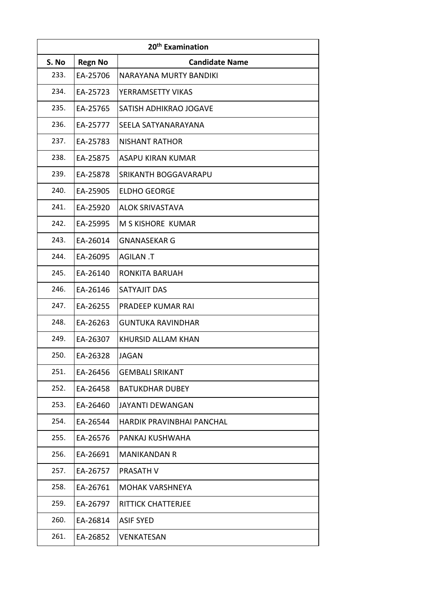| 20 <sup>th</sup> Examination |                |                                  |
|------------------------------|----------------|----------------------------------|
| S. No                        | <b>Regn No</b> | <b>Candidate Name</b>            |
| 233.                         | EA-25706       | NARAYANA MURTY BANDIKI           |
| 234.                         | EA-25723       | YERRAMSETTY VIKAS                |
| 235.                         | EA-25765       | SATISH ADHIKRAO JOGAVE           |
| 236.                         | EA-25777       | SEELA SATYANARAYANA              |
| 237.                         | EA-25783       | <b>NISHANT RATHOR</b>            |
| 238.                         | EA-25875       | <b>ASAPU KIRAN KUMAR</b>         |
| 239.                         | EA-25878       | SRIKANTH BOGGAVARAPU             |
| 240.                         | EA-25905       | <b>ELDHO GEORGE</b>              |
| 241.                         | EA-25920       | <b>ALOK SRIVASTAVA</b>           |
| 242.                         | EA-25995       | M S KISHORE KUMAR                |
| 243.                         | EA-26014       | <b>GNANASEKAR G</b>              |
| 244.                         | EA-26095       | T. AGILAN                        |
| 245.                         | EA-26140       | <b>RONKITA BARUAH</b>            |
| 246.                         | EA-26146       | SATYAJIT DAS                     |
| 247.                         | EA-26255       | PRADEEP KUMAR RAI                |
| 248.                         | EA-26263       | <b>GUNTUKA RAVINDHAR</b>         |
| 249.                         | EA-26307       | KHURSID ALLAM KHAN               |
| 250.                         | EA-26328       | <b>JAGAN</b>                     |
| 251.                         | EA-26456       | <b>GEMBALI SRIKANT</b>           |
| 252.                         | EA-26458       | <b>BATUKDHAR DUBEY</b>           |
| 253.                         | EA-26460       | <b>JAYANTI DEWANGAN</b>          |
| 254.                         | EA-26544       | <b>HARDIK PRAVINBHAI PANCHAL</b> |
| 255.                         | EA-26576       | PANKAJ KUSHWAHA                  |
| 256.                         | EA-26691       | <b>MANIKANDAN R</b>              |
| 257.                         | EA-26757       | PRASATH V                        |
| 258.                         | EA-26761       | MOHAK VARSHNEYA                  |
| 259.                         | EA-26797       | <b>RITTICK CHATTERJEE</b>        |
| 260.                         | EA-26814       | <b>ASIF SYED</b>                 |
| 261.                         | EA-26852       | VENKATESAN                       |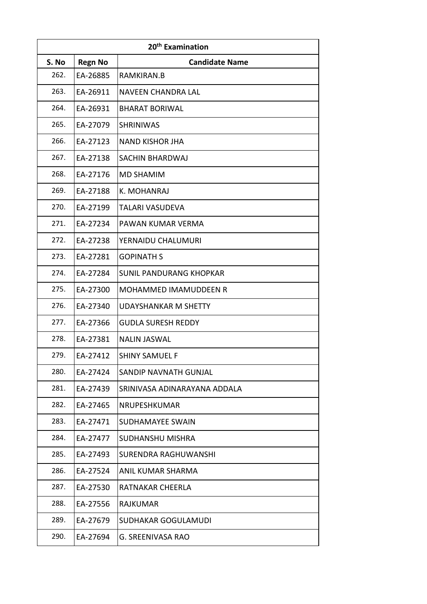| 20 <sup>th</sup> Examination |                |                                |
|------------------------------|----------------|--------------------------------|
| S. No                        | <b>Regn No</b> | <b>Candidate Name</b>          |
| 262.                         | EA-26885       | RAMKIRAN.B                     |
| 263.                         | EA-26911       | NAVEEN CHANDRA LAL             |
| 264.                         | EA-26931       | <b>BHARAT BORIWAL</b>          |
| 265.                         | EA-27079       | <b>SHRINIWAS</b>               |
| 266.                         | EA-27123       | <b>NAND KISHOR JHA</b>         |
| 267.                         | EA-27138       | SACHIN BHARDWAJ                |
| 268.                         | EA-27176       | <b>MD SHAMIM</b>               |
| 269.                         | EA-27188       | K. MOHANRAJ                    |
| 270.                         | EA-27199       | TALARI VASUDEVA                |
| 271.                         | EA-27234       | PAWAN KUMAR VERMA              |
| 272.                         | EA-27238       | YERNAIDU CHALUMURI             |
| 273.                         | EA-27281       | <b>GOPINATH S</b>              |
| 274.                         | EA-27284       | <b>SUNIL PANDURANG KHOPKAR</b> |
| 275.                         | EA-27300       | <b>MOHAMMED IMAMUDDEEN R</b>   |
| 276.                         | EA-27340       | <b>UDAYSHANKAR M SHETTY</b>    |
| 277.                         | EA-27366       | <b>GUDLA SURESH REDDY</b>      |
| 278.                         | EA-27381       | <b>NALIN JASWAL</b>            |
| 279.                         | EA-27412       | <b>SHINY SAMUEL F</b>          |
| 280.                         | EA-27424       | SANDIP NAVNATH GUNJAL          |
| 281.                         | EA-27439       | SRINIVASA ADINARAYANA ADDALA   |
| 282.                         | EA-27465       | NRUPESHKUMAR                   |
| 283.                         | EA-27471       | <b>SUDHAMAYEE SWAIN</b>        |
| 284.                         | EA-27477       | <b>SUDHANSHU MISHRA</b>        |
| 285.                         | EA-27493       | SURENDRA RAGHUWANSHI           |
| 286.                         | EA-27524       | ANIL KUMAR SHARMA              |
| 287.                         | EA-27530       | RATNAKAR CHEERLA               |
| 288.                         | EA-27556       | RAJKUMAR                       |
| 289.                         | EA-27679       | SUDHAKAR GOGULAMUDI            |
| 290.                         | EA-27694       | G. SREENIVASA RAO              |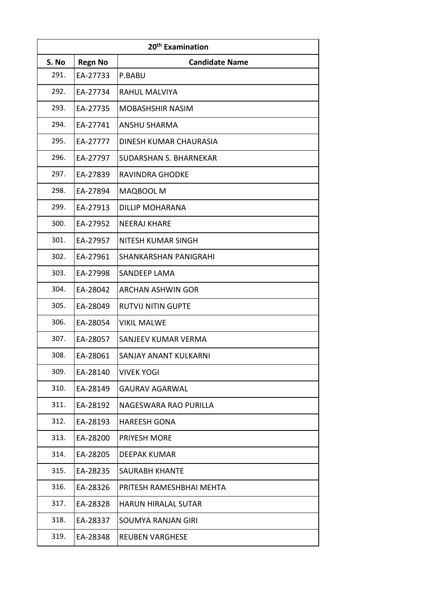| 20 <sup>th</sup> Examination |                |                               |
|------------------------------|----------------|-------------------------------|
| S. No                        | <b>Regn No</b> | <b>Candidate Name</b>         |
| 291.                         | EA-27733       | P.BABU                        |
| 292.                         | EA-27734       | RAHUL MALVIYA                 |
| 293.                         | EA-27735       | MOBASHSHIR NASIM              |
| 294.                         | EA-27741       | ANSHU SHARMA                  |
| 295.                         | EA-27777       | DINESH KUMAR CHAURASIA        |
| 296.                         | EA-27797       | <b>SUDARSHAN S. BHARNEKAR</b> |
| 297.                         | EA-27839       | <b>RAVINDRA GHODKE</b>        |
| 298.                         | EA-27894       | MAQBOOL M                     |
| 299.                         | EA-27913       | <b>DILLIP MOHARANA</b>        |
| 300.                         | EA-27952       | <b>NEERAJ KHARE</b>           |
| 301.                         | EA-27957       | <b>NITESH KUMAR SINGH</b>     |
| 302.                         | EA-27961       | SHANKARSHAN PANIGRAHI         |
| 303.                         | EA-27998       | <b>SANDEEP LAMA</b>           |
| 304.                         | EA-28042       | <b>ARCHAN ASHWIN GOR</b>      |
| 305.                         | EA-28049       | <b>RUTVIJ NITIN GUPTE</b>     |
| 306.                         | EA-28054       | <b>VIKIL MALWE</b>            |
| 307.                         | EA-28057       | SANJEEV KUMAR VERMA           |
| 308.                         | EA-28061       | SANJAY ANANT KULKARNI         |
| 309.                         | EA-28140       | <b>VIVEK YOGI</b>             |
| 310.                         | EA-28149       | <b>GAURAV AGARWAL</b>         |
| 311.                         | EA-28192       | NAGESWARA RAO PURILLA         |
| 312.                         | EA-28193       | <b>HAREESH GONA</b>           |
| 313.                         | EA-28200       | PRIYESH MORE                  |
| 314.                         | EA-28205       | DEEPAK KUMAR                  |
| 315.                         | EA-28235       | SAURABH KHANTE                |
| 316.                         | EA-28326       | PRITESH RAMESHBHAI MEHTA      |
| 317.                         | EA-28328       | <b>HARUN HIRALAL SUTAR</b>    |
| 318.                         | EA-28337       | SOUMYA RANJAN GIRI            |
| 319.                         | EA-28348       | <b>REUBEN VARGHESE</b>        |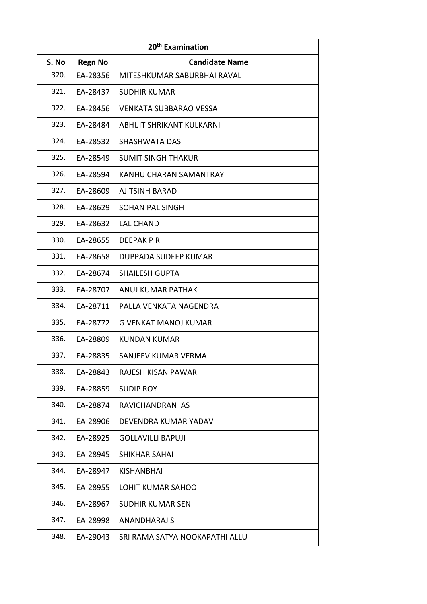| 20 <sup>th</sup> Examination |                |                                |
|------------------------------|----------------|--------------------------------|
| S. No                        | <b>Regn No</b> | <b>Candidate Name</b>          |
| 320.                         | EA-28356       | MITESHKUMAR SABURBHAI RAVAL    |
| 321.                         | EA-28437       | <b>SUDHIR KUMAR</b>            |
| 322.                         | EA-28456       | VENKATA SUBBARAO VESSA         |
| 323.                         | EA-28484       | ABHIJIT SHRIKANT KULKARNI      |
| 324.                         | EA-28532       | SHASHWATA DAS                  |
| 325.                         | EA-28549       | <b>SUMIT SINGH THAKUR</b>      |
| 326.                         | EA-28594       | <b>KANHU CHARAN SAMANTRAY</b>  |
| 327.                         | EA-28609       | <b>AJITSINH BARAD</b>          |
| 328.                         | EA-28629       | <b>SOHAN PAL SINGH</b>         |
| 329.                         | EA-28632       | <b>LAL CHAND</b>               |
| 330.                         | EA-28655       | DEEPAK P R                     |
| 331.                         | EA-28658       | DUPPADA SUDEEP KUMAR           |
| 332.                         | EA-28674       | <b>SHAILESH GUPTA</b>          |
| 333.                         | EA-28707       | <b>ANUJ KUMAR PATHAK</b>       |
| 334.                         | EA-28711       | PALLA VENKATA NAGENDRA         |
| 335.                         | EA-28772       | <b>G VENKAT MANOJ KUMAR</b>    |
| 336.                         | EA-28809       | <b>KUNDAN KUMAR</b>            |
| 337.                         | EA-28835       | SANJEEV KUMAR VERMA            |
| 338.                         | EA-28843       | RAJESH KISAN PAWAR             |
| 339.                         | EA-28859       | <b>SUDIP ROY</b>               |
| 340.                         | EA-28874       | RAVICHANDRAN AS                |
| 341.                         | EA-28906       | DEVENDRA KUMAR YADAV           |
| 342.                         | EA-28925       | <b>GOLLAVILLI BAPUJI</b>       |
| 343.                         | EA-28945       | SHIKHAR SAHAI                  |
| 344.                         | EA-28947       | <b>KISHANBHAI</b>              |
| 345.                         | EA-28955       | LOHIT KUMAR SAHOO              |
| 346.                         | EA-28967       | SUDHIR KUMAR SEN               |
| 347.                         | EA-28998       | <b>ANANDHARAJ S</b>            |
| 348.                         | EA-29043       | SRI RAMA SATYA NOOKAPATHI ALLU |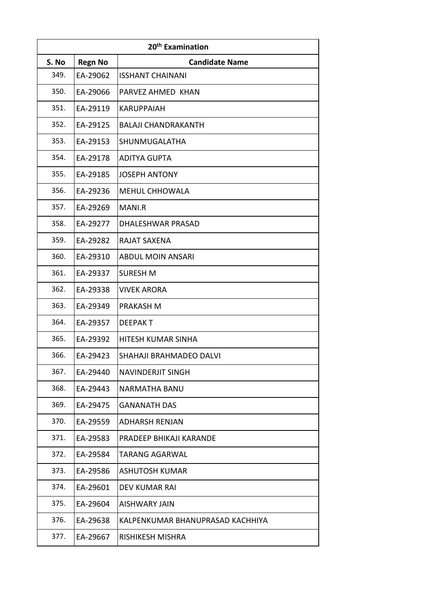| 20 <sup>th</sup> Examination |                |                                  |
|------------------------------|----------------|----------------------------------|
| S. No                        | <b>Regn No</b> | <b>Candidate Name</b>            |
| 349.                         | EA-29062       | <b>ISSHANT CHAINANI</b>          |
| 350.                         | EA-29066       | PARVEZ AHMED KHAN                |
| 351.                         | EA-29119       | <b>KARUPPAIAH</b>                |
| 352.                         | EA-29125       | <b>BALAJI CHANDRAKANTH</b>       |
| 353.                         | EA-29153       | SHUNMUGALATHA                    |
| 354.                         | EA-29178       | <b>ADITYA GUPTA</b>              |
| 355.                         | EA-29185       | <b>JOSEPH ANTONY</b>             |
| 356.                         | EA-29236       | MEHUL CHHOWALA                   |
| 357.                         | EA-29269       | MANI.R                           |
| 358.                         | EA-29277       | DHALESHWAR PRASAD                |
| 359.                         | EA-29282       | <b>RAJAT SAXENA</b>              |
| 360.                         | EA-29310       | <b>ABDUL MOIN ANSARI</b>         |
| 361.                         | EA-29337       | <b>SURESH M</b>                  |
| 362.                         | EA-29338       | <b>VIVEK ARORA</b>               |
| 363.                         | EA-29349       | PRAKASH M                        |
| 364.                         | EA-29357       | <b>DEEPAKT</b>                   |
| 365.                         | EA-29392       | HITESH KUMAR SINHA               |
| 366.                         | EA-29423       | SHAHAJI BRAHMADEO DALVI          |
| 367.                         | EA-29440       | <b>NAVINDERJIT SINGH</b>         |
| 368.                         | EA-29443       | <b>NARMATHA BANU</b>             |
| 369.                         | EA-29475       | <b>GANANATH DAS</b>              |
| 370.                         | EA-29559       | <b>ADHARSH RENJAN</b>            |
| 371.                         | EA-29583       | PRADEEP BHIKAJI KARANDE          |
| 372.                         | EA-29584       | <b>TARANG AGARWAL</b>            |
| 373.                         | EA-29586       | <b>ASHUTOSH KUMAR</b>            |
| 374.                         | EA-29601       | DEV KUMAR RAI                    |
| 375.                         | EA-29604       | <b>AISHWARY JAIN</b>             |
| 376.                         | EA-29638       | KALPENKUMAR BHANUPRASAD KACHHIYA |
| 377.                         | EA-29667       | <b>RISHIKESH MISHRA</b>          |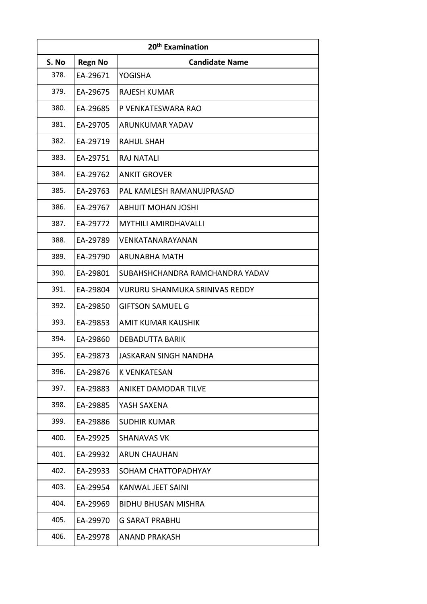| 20 <sup>th</sup> Examination |                |                                       |
|------------------------------|----------------|---------------------------------------|
| S. No                        | <b>Regn No</b> | <b>Candidate Name</b>                 |
| 378.                         | EA-29671       | YOGISHA                               |
| 379.                         | EA-29675       | <b>RAJESH KUMAR</b>                   |
| 380.                         | EA-29685       | P VENKATESWARA RAO                    |
| 381.                         | EA-29705       | ARUNKUMAR YADAV                       |
| 382.                         | EA-29719       | <b>RAHUL SHAH</b>                     |
| 383.                         | EA-29751       | <b>RAJ NATALI</b>                     |
| 384.                         | EA-29762       | <b>ANKIT GROVER</b>                   |
| 385.                         | EA-29763       | PAL KAMLESH RAMANUJPRASAD             |
| 386.                         | EA-29767       | <b>ABHIJIT MOHAN JOSHI</b>            |
| 387.                         | EA-29772       | <b>MYTHILI AMIRDHAVALLI</b>           |
| 388.                         | EA-29789       | VENKATANARAYANAN                      |
| 389.                         | EA-29790       | <b>ARUNABHA MATH</b>                  |
| 390.                         | EA-29801       | SUBAHSHCHANDRA RAMCHANDRA YADAV       |
| 391.                         | EA-29804       | <b>VURURU SHANMUKA SRINIVAS REDDY</b> |
| 392.                         | EA-29850       | <b>GIFTSON SAMUEL G</b>               |
| 393.                         | EA-29853       | AMIT KUMAR KAUSHIK                    |
| 394.                         | EA-29860       | <b>DEBADUTTA BARIK</b>                |
| 395.                         | EA-29873       | <b>JASKARAN SINGH NANDHA</b>          |
| 396.                         | EA-29876       | K VENKATESAN                          |
| 397.                         | EA-29883       | ANIKET DAMODAR TILVE                  |
| 398.                         | EA-29885       | YASH SAXENA                           |
| 399.                         | EA-29886       | <b>SUDHIR KUMAR</b>                   |
| 400.                         | EA-29925       | <b>SHANAVAS VK</b>                    |
| 401.                         | EA-29932       | <b>ARUN CHAUHAN</b>                   |
| 402.                         | EA-29933       | SOHAM CHATTOPADHYAY                   |
| 403.                         | EA-29954       | KANWAL JEET SAINI                     |
| 404.                         | EA-29969       | BIDHU BHUSAN MISHRA                   |
| 405.                         | EA-29970       | <b>G SARAT PRABHU</b>                 |
| 406.                         | EA-29978       | <b>ANAND PRAKASH</b>                  |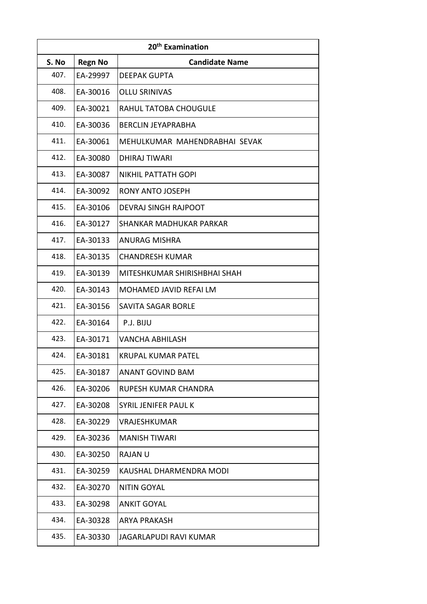| 20 <sup>th</sup> Examination |                |                               |
|------------------------------|----------------|-------------------------------|
| S. No                        | <b>Regn No</b> | <b>Candidate Name</b>         |
| 407.                         | EA-29997       | <b>DEEPAK GUPTA</b>           |
| 408.                         | EA-30016       | <b>OLLU SRINIVAS</b>          |
| 409.                         | EA-30021       | RAHUL TATOBA CHOUGULE         |
| 410.                         | EA-30036       | <b>BERCLIN JEYAPRABHA</b>     |
| 411.                         | EA-30061       | MEHULKUMAR MAHENDRABHAI SEVAK |
| 412.                         | EA-30080       | <b>DHIRAJ TIWARI</b>          |
| 413.                         | EA-30087       | <b>NIKHIL PATTATH GOPI</b>    |
| 414.                         | EA-30092       | RONY ANTO JOSEPH              |
| 415.                         | EA-30106       | <b>DEVRAJ SINGH RAJPOOT</b>   |
| 416.                         | EA-30127       | SHANKAR MADHUKAR PARKAR       |
| 417.                         | EA-30133       | ANURAG MISHRA                 |
| 418.                         | EA-30135       | <b>CHANDRESH KUMAR</b>        |
| 419.                         | EA-30139       | MITESHKUMAR SHIRISHBHAI SHAH  |
| 420.                         | EA-30143       | MOHAMED JAVID REFAI LM        |
| 421.                         | EA-30156       | SAVITA SAGAR BORLE            |
| 422.                         | EA-30164       | P.J. BIJU                     |
| 423.                         | EA-30171       | <b>VANCHA ABHILASH</b>        |
| 424.                         | EA-30181       | KRUPAL KUMAR PATEL            |
| 425.                         | EA-30187       | ANANT GOVIND BAM              |
| 426.                         | EA-30206       | RUPESH KUMAR CHANDRA          |
| 427.                         | EA-30208       | SYRIL JENIFER PAUL K          |
| 428.                         | EA-30229       | <b>VRAJESHKUMAR</b>           |
| 429.                         | EA-30236       | <b>MANISH TIWARI</b>          |
| 430.                         | EA-30250       | <b>RAJAN U</b>                |
| 431.                         | EA-30259       | KAUSHAL DHARMENDRA MODI       |
| 432.                         | EA-30270       | <b>NITIN GOYAL</b>            |
| 433.                         | EA-30298       | ANKIT GOYAL                   |
| 434.                         | EA-30328       | <b>ARYA PRAKASH</b>           |
| 435.                         | EA-30330       | <b>JAGARLAPUDI RAVI KUMAR</b> |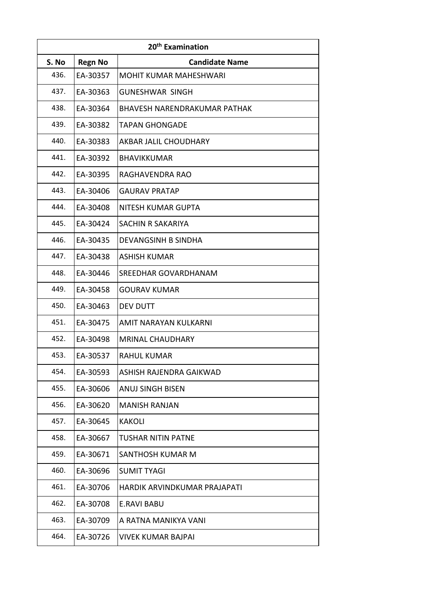| 20 <sup>th</sup> Examination |                |                                     |
|------------------------------|----------------|-------------------------------------|
| S. No                        | <b>Regn No</b> | <b>Candidate Name</b>               |
| 436.                         | EA-30357       | <b>MOHIT KUMAR MAHESHWARI</b>       |
| 437.                         | EA-30363       | <b>GUNESHWAR SINGH</b>              |
| 438.                         | EA-30364       | <b>BHAVESH NARENDRAKUMAR PATHAK</b> |
| 439.                         | EA-30382       | <b>TAPAN GHONGADE</b>               |
| 440.                         | EA-30383       | AKBAR JALIL CHOUDHARY               |
| 441.                         | EA-30392       | <b>BHAVIKKUMAR</b>                  |
| 442.                         | EA-30395       | RAGHAVENDRA RAO                     |
| 443.                         | EA-30406       | <b>GAURAV PRATAP</b>                |
| 444.                         | EA-30408       | NITESH KUMAR GUPTA                  |
| 445.                         | EA-30424       | <b>SACHIN R SAKARIYA</b>            |
| 446.                         | EA-30435       | <b>DEVANGSINH B SINDHA</b>          |
| 447.                         | EA-30438       | <b>ASHISH KUMAR</b>                 |
| 448.                         | EA-30446       | SREEDHAR GOVARDHANAM                |
| 449.                         | EA-30458       | <b>GOURAV KUMAR</b>                 |
| 450.                         | EA-30463       | <b>DEV DUTT</b>                     |
| 451.                         | EA-30475       | AMIT NARAYAN KULKARNI               |
| 452.                         | EA-30498       | <b>MRINAL CHAUDHARY</b>             |
| 453.                         | EA-30537       | <b>RAHUL KUMAR</b>                  |
| 454.                         | EA-30593       | ASHISH RAJENDRA GAIKWAD             |
| 455.                         | EA-30606       | <b>ANUJ SINGH BISEN</b>             |
| 456.                         | EA-30620       | <b>MANISH RANJAN</b>                |
| 457.                         | EA-30645       | <b>KAKOLI</b>                       |
| 458.                         | EA-30667       | <b>TUSHAR NITIN PATNE</b>           |
| 459.                         | EA-30671       | SANTHOSH KUMAR M                    |
| 460.                         | EA-30696       | <b>SUMIT TYAGI</b>                  |
| 461.                         | EA-30706       | HARDIK ARVINDKUMAR PRAJAPATI        |
| 462.                         | EA-30708       | E.RAVI BABU                         |
| 463.                         | EA-30709       | A RATNA MANIKYA VANI                |
| 464.                         | EA-30726       | <b>VIVEK KUMAR BAJPAI</b>           |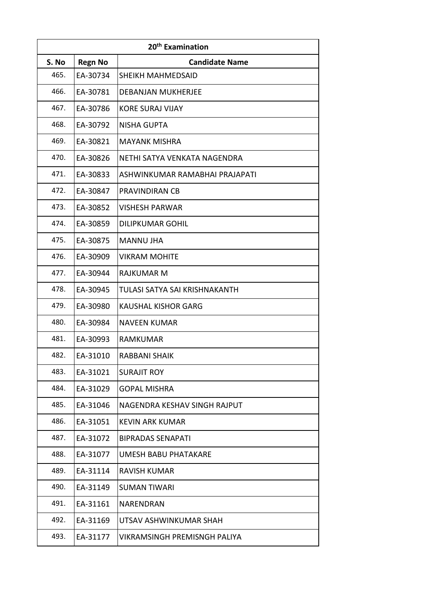| 20 <sup>th</sup> Examination |                |                                     |
|------------------------------|----------------|-------------------------------------|
| S. No                        | <b>Regn No</b> | <b>Candidate Name</b>               |
| 465.                         | EA-30734       | SHEIKH MAHMEDSAID                   |
| 466.                         | EA-30781       | <b>DEBANJAN MUKHERJEE</b>           |
| 467.                         | EA-30786       | <b>KORE SURAJ VIJAY</b>             |
| 468.                         | EA-30792       | <b>NISHA GUPTA</b>                  |
| 469.                         | EA-30821       | <b>MAYANK MISHRA</b>                |
| 470.                         | EA-30826       | NETHI SATYA VENKATA NAGENDRA        |
| 471.                         | EA-30833       | ASHWINKUMAR RAMABHAI PRAJAPATI      |
| 472.                         | EA-30847       | PRAVINDIRAN CB                      |
| 473.                         | EA-30852       | <b>VISHESH PARWAR</b>               |
| 474.                         | EA-30859       | <b>DILIPKUMAR GOHIL</b>             |
| 475.                         | EA-30875       | <b>MANNU JHA</b>                    |
| 476.                         | EA-30909       | <b>VIKRAM MOHITE</b>                |
| 477.                         | EA-30944       | <b>RAJKUMAR M</b>                   |
| 478.                         | EA-30945       | TULASI SATYA SAI KRISHNAKANTH       |
| 479.                         | EA-30980       | <b>KAUSHAL KISHOR GARG</b>          |
| 480.                         | EA-30984       | <b>NAVEEN KUMAR</b>                 |
| 481.                         | EA-30993       | <b>RAMKUMAR</b>                     |
| 482.                         | EA-31010       | RABBANI SHAIK                       |
| 483.                         | EA-31021       | SURAJIT ROY                         |
| 484.                         | EA-31029       | <b>GOPAL MISHRA</b>                 |
| 485.                         | EA-31046       | NAGENDRA KESHAV SINGH RAJPUT        |
| 486.                         | EA-31051       | <b>KEVIN ARK KUMAR</b>              |
| 487.                         | EA-31072       | <b>BIPRADAS SENAPATI</b>            |
| 488.                         | EA-31077       | <b>UMESH BABU PHATAKARE</b>         |
| 489.                         | EA-31114       | RAVISH KUMAR                        |
| 490.                         | EA-31149       | <b>SUMAN TIWARI</b>                 |
| 491.                         | EA-31161       | NARENDRAN                           |
| 492.                         | EA-31169       | UTSAV ASHWINKUMAR SHAH              |
| 493.                         | EA-31177       | <b>VIKRAMSINGH PREMISNGH PALIYA</b> |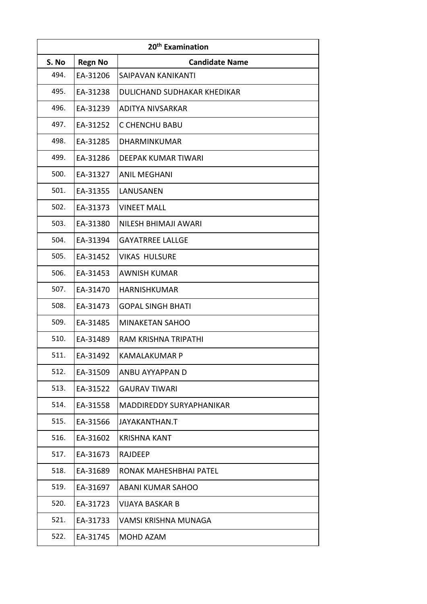| 20 <sup>th</sup> Examination |                |                             |
|------------------------------|----------------|-----------------------------|
| S. No                        | <b>Regn No</b> | <b>Candidate Name</b>       |
| 494.                         | EA-31206       | SAIPAVAN KANIKANTI          |
| 495.                         | EA-31238       | DULICHAND SUDHAKAR KHEDIKAR |
| 496.                         | EA-31239       | ADITYA NIVSARKAR            |
| 497.                         | EA-31252       | <b>C CHENCHU BABU</b>       |
| 498.                         | EA-31285       | DHARMINKUMAR                |
| 499.                         | EA-31286       | <b>DEEPAK KUMAR TIWARI</b>  |
| 500.                         | EA-31327       | <b>ANIL MEGHANI</b>         |
| 501.                         | EA-31355       | LANUSANEN                   |
| 502.                         | EA-31373       | <b>VINEET MALL</b>          |
| 503.                         | EA-31380       | NILESH BHIMAJI AWARI        |
| 504.                         | EA-31394       | <b>GAYATRREE LALLGE</b>     |
| 505.                         | EA-31452       | <b>VIKAS HULSURE</b>        |
| 506.                         | EA-31453       | <b>AWNISH KUMAR</b>         |
| 507.                         | EA-31470       | <b>HARNISHKUMAR</b>         |
| 508.                         | EA-31473       | <b>GOPAL SINGH BHATI</b>    |
| 509.                         | EA-31485       | <b>MINAKETAN SAHOO</b>      |
| 510.                         | EA-31489       | <b>RAM KRISHNA TRIPATHI</b> |
| 511.                         | EA-31492       | <b>KAMALAKUMAR P</b>        |
| 512.                         | EA-31509       | ANBU AYYAPPAN D             |
| 513.                         | EA-31522       | <b>GAURAV TIWARI</b>        |
| 514.                         | EA-31558       | MADDIREDDY SURYAPHANIKAR    |
| 515.                         | EA-31566       | JAYAKANTHAN.T               |
| 516.                         | EA-31602       | <b>KRISHNA KANT</b>         |
| 517.                         | EA-31673       | RAJDEEP                     |
| 518.                         | EA-31689       | RONAK MAHESHBHAI PATEL      |
| 519.                         | EA-31697       | <b>ABANI KUMAR SAHOO</b>    |
| 520.                         | EA-31723       | VIJAYA BASKAR B             |
| 521.                         | EA-31733       | VAMSI KRISHNA MUNAGA        |
| 522.                         | EA-31745       | MOHD AZAM                   |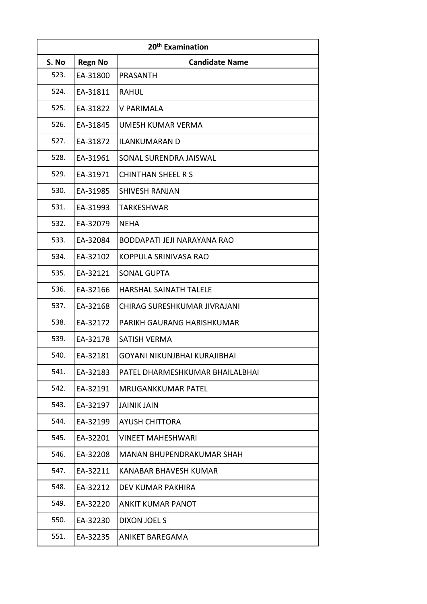| 20 <sup>th</sup> Examination |                |                                 |
|------------------------------|----------------|---------------------------------|
| S. No                        | <b>Regn No</b> | <b>Candidate Name</b>           |
| 523.                         | EA-31800       | <b>PRASANTH</b>                 |
| 524.                         | EA-31811       | <b>RAHUL</b>                    |
| 525.                         | EA-31822       | <b>V PARIMALA</b>               |
| 526.                         | EA-31845       | UMESH KUMAR VERMA               |
| 527.                         | EA-31872       | <b>ILANKUMARAN D</b>            |
| 528.                         | EA-31961       | SONAL SURENDRA JAISWAL          |
| 529.                         | EA-31971       | <b>CHINTHAN SHEEL R S</b>       |
| 530.                         | EA-31985       | <b>SHIVESH RANJAN</b>           |
| 531.                         | EA-31993       | TARKESHWAR                      |
| 532.                         | EA-32079       | <b>NEHA</b>                     |
| 533.                         | EA-32084       | BODDAPATI JEJI NARAYANA RAO     |
| 534.                         | EA-32102       | KOPPULA SRINIVASA RAO           |
| 535.                         | EA-32121       | <b>SONAL GUPTA</b>              |
| 536.                         | EA-32166       | HARSHAL SAINATH TALELE          |
| 537.                         | EA-32168       | CHIRAG SURESHKUMAR JIVRAJANI    |
| 538.                         | EA-32172       | PARIKH GAURANG HARISHKUMAR      |
| 539.                         | EA-32178       | <b>SATISH VERMA</b>             |
| 540.                         | EA-32181       | GOYANI NIKUNJBHAI KURAJIBHAI    |
| 541.                         | EA-32183       | PATEL DHARMESHKUMAR BHAILALBHAI |
| 542.                         | EA-32191       | <b>MRUGANKKUMAR PATEL</b>       |
| 543.                         | EA-32197       | <b>JAINIK JAIN</b>              |
| 544.                         | EA-32199       | <b>AYUSH CHITTORA</b>           |
| 545.                         | EA-32201       | <b>VINEET MAHESHWARI</b>        |
| 546.                         | EA-32208       | MANAN BHUPENDRAKUMAR SHAH       |
| 547.                         | EA-32211       | KANABAR BHAVESH KUMAR           |
| 548.                         | EA-32212       | DEV KUMAR PAKHIRA               |
| 549.                         | EA-32220       | ANKIT KUMAR PANOT               |
| 550.                         | EA-32230       | DIXON JOEL S                    |
| 551.                         | EA-32235       | ANIKET BAREGAMA                 |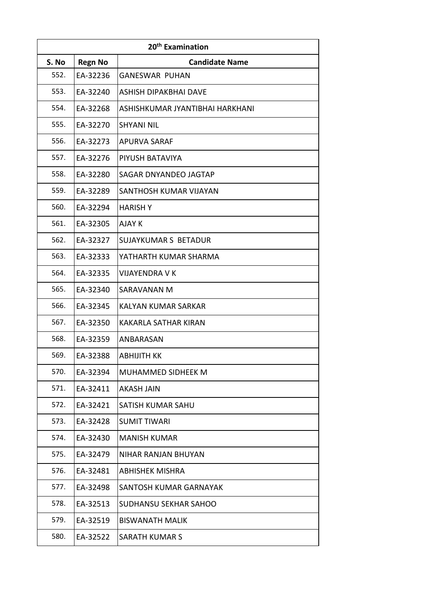| 20 <sup>th</sup> Examination |                |                                 |
|------------------------------|----------------|---------------------------------|
| S. No                        | <b>Regn No</b> | <b>Candidate Name</b>           |
| 552.                         | EA-32236       | <b>GANESWAR PUHAN</b>           |
| 553.                         | EA-32240       | ASHISH DIPAKBHAI DAVE           |
| 554.                         | EA-32268       | ASHISHKUMAR JYANTIBHAI HARKHANI |
| 555.                         | EA-32270       | <b>SHYANI NIL</b>               |
| 556.                         | EA-32273       | <b>APURVA SARAF</b>             |
| 557.                         | EA-32276       | PIYUSH BATAVIYA                 |
| 558.                         | EA-32280       | SAGAR DNYANDEO JAGTAP           |
| 559.                         | EA-32289       | SANTHOSH KUMAR VIJAYAN          |
| 560.                         | EA-32294       | <b>HARISH Y</b>                 |
| 561.                         | EA-32305       | AJAY K                          |
| 562.                         | EA-32327       | <b>SUJAYKUMAR S BETADUR</b>     |
| 563.                         | EA-32333       | YATHARTH KUMAR SHARMA           |
| 564.                         | EA-32335       | <b>VIJAYENDRA V K</b>           |
| 565.                         | EA-32340       | SARAVANAN M                     |
| 566.                         | EA-32345       | KALYAN KUMAR SARKAR             |
| 567.                         | EA-32350       | <b>KAKARLA SATHAR KIRAN</b>     |
| 568.                         | EA-32359       | ANBARASAN                       |
| 569.                         | EA-32388       | ABHIJITH KK                     |
| 570.                         | EA-32394       | <b>MUHAMMED SIDHEEK M</b>       |
| 571.                         | EA-32411       | <b>AKASH JAIN</b>               |
| 572.                         | EA-32421       | <b>SATISH KUMAR SAHU</b>        |
| 573.                         | EA-32428       | <b>SUMIT TIWARI</b>             |
| 574.                         | EA-32430       | <b>MANISH KUMAR</b>             |
| 575.                         | EA-32479       | NIHAR RANJAN BHUYAN             |
| 576.                         | EA-32481       | <b>ABHISHEK MISHRA</b>          |
| 577.                         | EA-32498       | SANTOSH KUMAR GARNAYAK          |
| 578.                         | EA-32513       | <b>SUDHANSU SEKHAR SAHOO</b>    |
| 579.                         | EA-32519       | <b>BISWANATH MALIK</b>          |
| 580.                         | EA-32522       | <b>SARATH KUMAR S</b>           |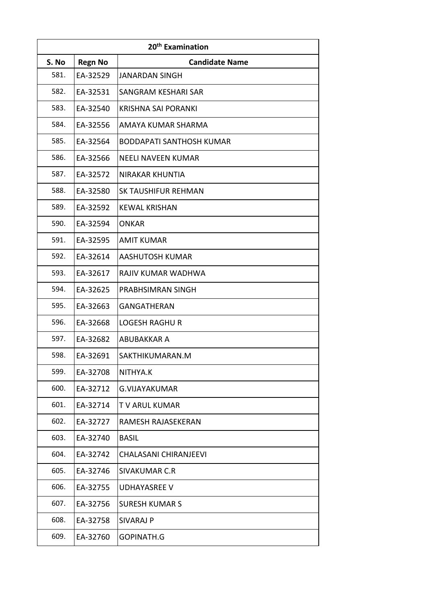| 20 <sup>th</sup> Examination |                |                            |
|------------------------------|----------------|----------------------------|
| S. No                        | <b>Regn No</b> | <b>Candidate Name</b>      |
| 581.                         | EA-32529       | <b>JANARDAN SINGH</b>      |
| 582.                         | EA-32531       | SANGRAM KESHARI SAR        |
| 583.                         | EA-32540       | KRISHNA SAI PORANKI        |
| 584.                         | EA-32556       | AMAYA KUMAR SHARMA         |
| 585.                         | EA-32564       | BODDAPATI SANTHOSH KUMAR   |
| 586.                         | EA-32566       | <b>NEELI NAVEEN KUMAR</b>  |
| 587.                         | EA-32572       | <b>NIRAKAR KHUNTIA</b>     |
| 588.                         | EA-32580       | <b>SK TAUSHIFUR REHMAN</b> |
| 589.                         | EA-32592       | <b>KEWAL KRISHAN</b>       |
| 590.                         | EA-32594       | <b>ONKAR</b>               |
| 591.                         | EA-32595       | <b>AMIT KUMAR</b>          |
| 592.                         | EA-32614       | <b>AASHUTOSH KUMAR</b>     |
| 593.                         | EA-32617       | RAJIV KUMAR WADHWA         |
| 594.                         | EA-32625       | PRABHSIMRAN SINGH          |
| 595.                         | EA-32663       | <b>GANGATHERAN</b>         |
| 596.                         | EA-32668       | <b>LOGESH RAGHU R</b>      |
| 597.                         | EA-32682       | <b>ABUBAKKAR A</b>         |
| 598.                         | EA-32691       | SAKTHIKUMARAN.M            |
| 599.                         | EA-32708       | NITHYA.K                   |
| 600.                         | EA-32712       | <b>G.VIJAYAKUMAR</b>       |
| 601.                         | EA-32714       | <b>TV ARUL KUMAR</b>       |
| 602.                         | EA-32727       | <b>RAMESH RAJASEKERAN</b>  |
| 603.                         | EA-32740       | <b>BASIL</b>               |
| 604.                         | EA-32742       | CHALASANI CHIRANJEEVI      |
| 605.                         | EA-32746       | SIVAKUMAR C.R              |
| 606.                         | EA-32755       | <b>UDHAYASREE V</b>        |
| 607.                         | EA-32756       | <b>SURESH KUMAR S</b>      |
| 608.                         | EA-32758       | <b>SIVARAJ P</b>           |
| 609.                         | EA-32760       | GOPINATH.G                 |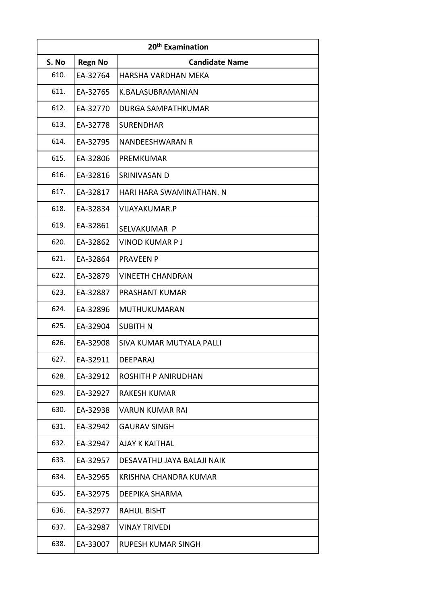| 20 <sup>th</sup> Examination |                |                            |
|------------------------------|----------------|----------------------------|
| S. No                        | <b>Regn No</b> | <b>Candidate Name</b>      |
| 610.                         | EA-32764       | HARSHA VARDHAN MEKA        |
| 611.                         | EA-32765       | K.BALASUBRAMANIAN          |
| 612.                         | EA-32770       | DURGA SAMPATHKUMAR         |
| 613.                         | EA-32778       | <b>SURENDHAR</b>           |
| 614.                         | EA-32795       | NANDEESHWARAN R            |
| 615.                         | EA-32806       | PREMKUMAR                  |
| 616.                         | EA-32816       | SRINIVASAN D               |
| 617.                         | EA-32817       | HARI HARA SWAMINATHAN. N   |
| 618.                         | EA-32834       | <b>VIJAYAKUMAR.P</b>       |
| 619.                         | EA-32861       | SELVAKUMAR P               |
| 620.                         | EA-32862       | <b>VINOD KUMAR PJ</b>      |
| 621.                         | EA-32864       | <b>PRAVEEN P</b>           |
| 622.                         | EA-32879       | <b>VINEETH CHANDRAN</b>    |
| 623.                         | EA-32887       | PRASHANT KUMAR             |
| 624.                         | EA-32896       | MUTHUKUMARAN               |
| 625.                         | EA-32904       | <b>SUBITH N</b>            |
| 626.                         | EA-32908       | SIVA KUMAR MUTYALA PALLI   |
| 627.                         | EA-32911       | DEEPARAJ                   |
| 628.                         | EA-32912       | ROSHITH P ANIRUDHAN        |
| 629.                         | EA-32927       | <b>RAKESH KUMAR</b>        |
| 630.                         | EA-32938       | <b>VARUN KUMAR RAI</b>     |
| 631.                         | EA-32942       | <b>GAURAV SINGH</b>        |
| 632.                         | EA-32947       | <b>AJAY K KAITHAL</b>      |
| 633.                         | EA-32957       | DESAVATHU JAYA BALAJI NAIK |
| 634.                         | EA-32965       | KRISHNA CHANDRA KUMAR      |
| 635.                         | EA-32975       | <b>DEEPIKA SHARMA</b>      |
| 636.                         | EA-32977       | <b>RAHUL BISHT</b>         |
| 637.                         | EA-32987       | <b>VINAY TRIVEDI</b>       |
| 638.                         | EA-33007       | <b>RUPESH KUMAR SINGH</b>  |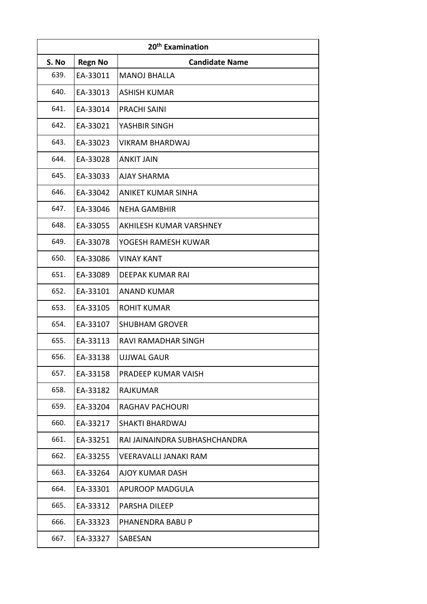| 20 <sup>th</sup> Examination |                |                               |
|------------------------------|----------------|-------------------------------|
| S. No                        | <b>Regn No</b> | <b>Candidate Name</b>         |
| 639.                         | EA-33011       | <b>MANOJ BHALLA</b>           |
| 640.                         | EA-33013       | <b>ASHISH KUMAR</b>           |
| 641.                         | EA-33014       | <b>PRACHI SAINI</b>           |
| 642.                         | EA-33021       | YASHBIR SINGH                 |
| 643.                         | EA-33023       | <b>VIKRAM BHARDWAJ</b>        |
| 644.                         | EA-33028       | <b>ANKIT JAIN</b>             |
| 645.                         | EA-33033       | <b>AJAY SHARMA</b>            |
| 646.                         | EA-33042       | <b>ANIKET KUMAR SINHA</b>     |
| 647.                         | EA-33046       | <b>NEHA GAMBHIR</b>           |
| 648.                         | EA-33055       | AKHILESH KUMAR VARSHNEY       |
| 649.                         | EA-33078       | YOGESH RAMESH KUWAR           |
| 650.                         | EA-33086       | <b>VINAY KANT</b>             |
| 651.                         | EA-33089       | <b>DEEPAK KUMAR RAI</b>       |
| 652.                         | EA-33101       | <b>ANAND KUMAR</b>            |
| 653.                         | EA-33105       | <b>ROHIT KUMAR</b>            |
| 654.                         | EA-33107       | <b>SHUBHAM GROVER</b>         |
| 655.                         | EA-33113       | RAVI RAMADHAR SINGH           |
| 656.                         | EA-33138       | <b>UJJWAL GAUR</b>            |
| 657.                         | EA-33158       | PRADEEP KUMAR VAISH           |
| 658.                         | EA-33182       | <b>RAJKUMAR</b>               |
| 659.                         | EA-33204       | <b>RAGHAV PACHOURI</b>        |
| 660.                         | EA-33217       | <b>SHAKTI BHARDWAJ</b>        |
| 661.                         | EA-33251       | RAI JAINAINDRA SUBHASHCHANDRA |
| 662.                         | EA-33255       | <b>VEERAVALLI JANAKI RAM</b>  |
| 663.                         | EA-33264       | <b>AJOY KUMAR DASH</b>        |
| 664.                         | EA-33301       | <b>APUROOP MADGULA</b>        |
| 665.                         | EA-33312       | <b>PARSHA DILEEP</b>          |
| 666.                         | EA-33323       | PHANENDRA BABU P              |
| 667.                         | EA-33327       | SABESAN                       |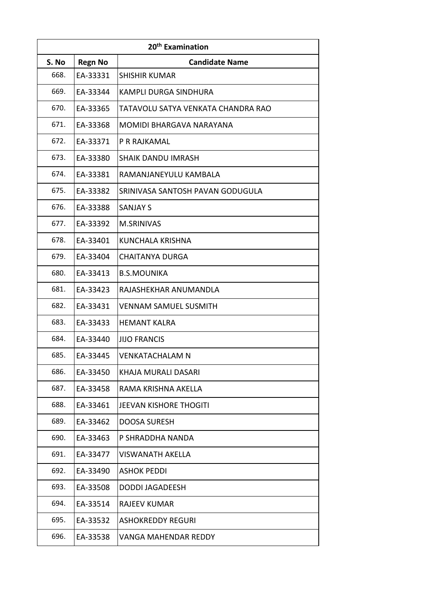| 20 <sup>th</sup> Examination |                |                                    |
|------------------------------|----------------|------------------------------------|
| S. No                        | <b>Regn No</b> | <b>Candidate Name</b>              |
| 668.                         | EA-33331       | <b>SHISHIR KUMAR</b>               |
| 669.                         | EA-33344       | <b>KAMPLI DURGA SINDHURA</b>       |
| 670.                         | EA-33365       | TATAVOLU SATYA VENKATA CHANDRA RAO |
| 671.                         | EA-33368       | MOMIDI BHARGAVA NARAYANA           |
| 672.                         | EA-33371       | P R RAJKAMAL                       |
| 673.                         | EA-33380       | <b>SHAIK DANDU IMRASH</b>          |
| 674.                         | EA-33381       | RAMANJANEYULU KAMBALA              |
| 675.                         | EA-33382       | SRINIVASA SANTOSH PAVAN GODUGULA   |
| 676.                         | EA-33388       | <b>SANJAY S</b>                    |
| 677.                         | EA-33392       | <b>M.SRINIVAS</b>                  |
| 678.                         | EA-33401       | <b>KUNCHALA KRISHNA</b>            |
| 679.                         | EA-33404       | <b>CHAITANYA DURGA</b>             |
| 680.                         | EA-33413       | <b>B.S.MOUNIKA</b>                 |
| 681.                         | EA-33423       | RAJASHEKHAR ANUMANDLA              |
| 682.                         | EA-33431       | <b>VENNAM SAMUEL SUSMITH</b>       |
| 683.                         | EA-33433       | <b>HEMANT KALRA</b>                |
| 684.                         | EA-33440       | <b>JIJO FRANCIS</b>                |
| 685.                         | EA-33445       | <b>VENKATACHALAM N</b>             |
| 686.                         | EA-33450       | KHAJA MURALI DASARI                |
| 687.                         | EA-33458       | RAMA KRISHNA AKELLA                |
| 688.                         | EA-33461       | <b>JEEVAN KISHORE THOGITI</b>      |
| 689.                         | EA-33462       | <b>DOOSA SURESH</b>                |
| 690.                         | EA-33463       | P SHRADDHA NANDA                   |
| 691.                         | EA-33477       | <b>VISWANATH AKELLA</b>            |
| 692.                         | EA-33490       | <b>ASHOK PEDDI</b>                 |
| 693.                         | EA-33508       | <b>DODDI JAGADEESH</b>             |
| 694.                         | EA-33514       | <b>RAJEEV KUMAR</b>                |
| 695.                         | EA-33532       | <b>ASHOKREDDY REGURI</b>           |
| 696.                         | EA-33538       | <b>VANGA MAHENDAR REDDY</b>        |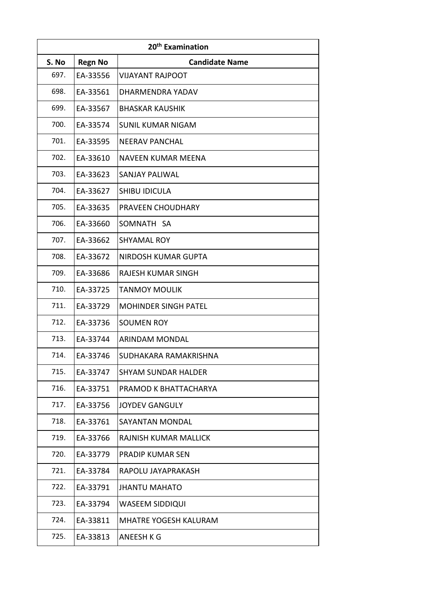| 20 <sup>th</sup> Examination |                |                             |  |  |
|------------------------------|----------------|-----------------------------|--|--|
| S. No                        | <b>Regn No</b> | <b>Candidate Name</b>       |  |  |
| 697.                         | EA-33556       | <b>VIJAYANT RAJPOOT</b>     |  |  |
| 698.                         | EA-33561       | DHARMENDRA YADAV            |  |  |
| 699.                         | EA-33567       | <b>BHASKAR KAUSHIK</b>      |  |  |
| 700.                         | EA-33574       | <b>SUNIL KUMAR NIGAM</b>    |  |  |
| 701.                         | EA-33595       | <b>NEERAV PANCHAL</b>       |  |  |
| 702.                         | EA-33610       | NAVEEN KUMAR MEENA          |  |  |
| 703.                         | EA-33623       | <b>SANJAY PALIWAL</b>       |  |  |
| 704.                         | EA-33627       | SHIBU IDICULA               |  |  |
| 705.                         | EA-33635       | PRAVEEN CHOUDHARY           |  |  |
| 706.                         | EA-33660       | SOMNATH SA                  |  |  |
| 707.                         | EA-33662       | <b>SHYAMAL ROY</b>          |  |  |
| 708.                         | EA-33672       | NIRDOSH KUMAR GUPTA         |  |  |
| 709.                         | EA-33686       | RAJESH KUMAR SINGH          |  |  |
| 710.                         | EA-33725       | <b>TANMOY MOULIK</b>        |  |  |
| 711.                         | EA-33729       | <b>MOHINDER SINGH PATEL</b> |  |  |
| 712.                         | EA-33736       | <b>SOUMEN ROY</b>           |  |  |
| 713.                         | EA-33744       | <b>ARINDAM MONDAL</b>       |  |  |
| 714.                         | EA-33746       | SUDHAKARA RAMAKRISHNA       |  |  |
| 715.                         | EA-33747       | <b>SHYAM SUNDAR HALDER</b>  |  |  |
| 716.                         | EA-33751       | PRAMOD K BHATTACHARYA       |  |  |
| 717.                         | EA-33756       | <b>JOYDEV GANGULY</b>       |  |  |
| 718.                         | EA-33761       | <b>SAYANTAN MONDAL</b>      |  |  |
| 719.                         | EA-33766       | RAJNISH KUMAR MALLICK       |  |  |
| 720.                         | EA-33779       | <b>PRADIP KUMAR SEN</b>     |  |  |
| 721.                         | EA-33784       | RAPOLU JAYAPRAKASH          |  |  |
| 722.                         | EA-33791       | <b>JHANTU MAHATO</b>        |  |  |
| 723.                         | EA-33794       | WASEEM SIDDIQUI             |  |  |
| 724.                         | EA-33811       | MHATRE YOGESH KALURAM       |  |  |
| 725.                         | EA-33813       | ANEESH K G                  |  |  |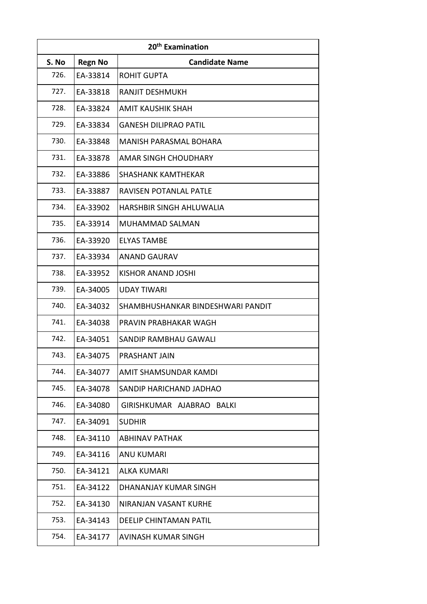| 20 <sup>th</sup> Examination |                |                                   |  |  |
|------------------------------|----------------|-----------------------------------|--|--|
| S. No                        | <b>Regn No</b> | <b>Candidate Name</b>             |  |  |
| 726.                         | EA-33814       | <b>ROHIT GUPTA</b>                |  |  |
| 727.                         | EA-33818       | <b>RANJIT DESHMUKH</b>            |  |  |
| 728.                         | EA-33824       | AMIT KAUSHIK SHAH                 |  |  |
| 729.                         | EA-33834       | <b>GANESH DILIPRAO PATIL</b>      |  |  |
| 730.                         | EA-33848       | <b>MANISH PARASMAL BOHARA</b>     |  |  |
| 731.                         | EA-33878       | <b>AMAR SINGH CHOUDHARY</b>       |  |  |
| 732.                         | EA-33886       | <b>SHASHANK KAMTHEKAR</b>         |  |  |
| 733.                         | EA-33887       | RAVISEN POTANLAL PATLE            |  |  |
| 734.                         | EA-33902       | <b>HARSHBIR SINGH AHLUWALIA</b>   |  |  |
| 735.                         | EA-33914       | MUHAMMAD SALMAN                   |  |  |
| 736.                         | EA-33920       | <b>ELYAS TAMBE</b>                |  |  |
| 737.                         | EA-33934       | ANAND GAURAV                      |  |  |
| 738.                         | EA-33952       | <b>KISHOR ANAND JOSHI</b>         |  |  |
| 739.                         | EA-34005       | <b>UDAY TIWARI</b>                |  |  |
| 740.                         | EA-34032       | SHAMBHUSHANKAR BINDESHWARI PANDIT |  |  |
| 741.                         | EA-34038       | PRAVIN PRABHAKAR WAGH             |  |  |
| 742.                         | EA-34051       | SANDIP RAMBHAU GAWALI             |  |  |
| 743.                         | EA-34075       | <b>PRASHANT JAIN</b>              |  |  |
| 744.                         | EA-34077       | AMIT SHAMSUNDAR KAMDI             |  |  |
| 745.                         | EA-34078       | SANDIP HARICHAND JADHAO           |  |  |
| 746.                         | EA-34080       | GIRISHKUMAR AJABRAO BALKI         |  |  |
| 747.                         | EA-34091       | <b>SUDHIR</b>                     |  |  |
| 748.                         | EA-34110       | ABHINAV PATHAK                    |  |  |
| 749.                         | EA-34116       | <b>ANU KUMARI</b>                 |  |  |
| 750.                         | EA-34121       | ALKA KUMARI                       |  |  |
| 751.                         | EA-34122       | DHANANJAY KUMAR SINGH             |  |  |
| 752.                         | EA-34130       | NIRANJAN VASANT KURHE             |  |  |
| 753.                         | EA-34143       | <b>DEELIP CHINTAMAN PATIL</b>     |  |  |
| 754.                         | EA-34177       | AVINASH KUMAR SINGH               |  |  |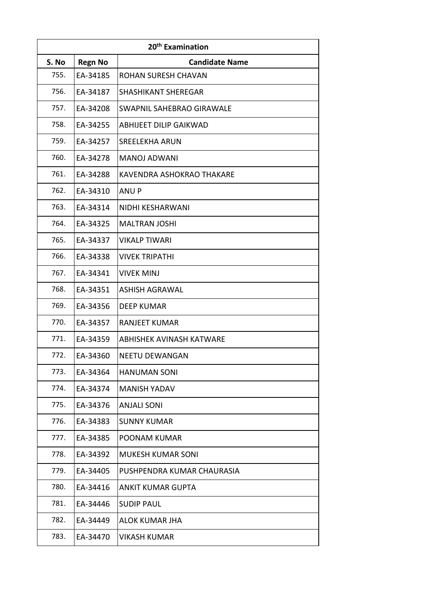|       | 20 <sup>th</sup> Examination |                               |  |  |  |
|-------|------------------------------|-------------------------------|--|--|--|
| S. No | <b>Regn No</b>               | <b>Candidate Name</b>         |  |  |  |
| 755.  | EA-34185                     | ROHAN SURESH CHAVAN           |  |  |  |
| 756.  | EA-34187                     | <b>SHASHIKANT SHEREGAR</b>    |  |  |  |
| 757.  | EA-34208                     | SWAPNIL SAHEBRAO GIRAWALE     |  |  |  |
| 758.  | EA-34255                     | <b>ABHIJEET DILIP GAIKWAD</b> |  |  |  |
| 759.  | EA-34257                     | <b>SREELEKHA ARUN</b>         |  |  |  |
| 760.  | EA-34278                     | <b>MANOJ ADWANI</b>           |  |  |  |
| 761.  | EA-34288                     | KAVENDRA ASHOKRAO THAKARE     |  |  |  |
| 762.  | EA-34310                     | <b>ANUP</b>                   |  |  |  |
| 763.  | EA-34314                     | NIDHI KESHARWANI              |  |  |  |
| 764.  | EA-34325                     | <b>MALTRAN JOSHI</b>          |  |  |  |
| 765.  | EA-34337                     | <b>VIKALP TIWARI</b>          |  |  |  |
| 766.  | EA-34338                     | <b>VIVEK TRIPATHI</b>         |  |  |  |
| 767.  | EA-34341                     | <b>VIVEK MINJ</b>             |  |  |  |
| 768.  | EA-34351                     | <b>ASHISH AGRAWAL</b>         |  |  |  |
| 769.  | EA-34356                     | <b>DEEP KUMAR</b>             |  |  |  |
| 770.  | EA-34357                     | <b>RANJEET KUMAR</b>          |  |  |  |
| 771.  | EA-34359                     | ABHISHEK AVINASH KATWARE      |  |  |  |
| 772.  | EA-34360                     | <b>NEETU DEWANGAN</b>         |  |  |  |
| 773.  | EA-34364                     | <b>HANUMAN SONI</b>           |  |  |  |
| 774.  | EA-34374                     | <b>MANISH YADAV</b>           |  |  |  |
| 775.  | EA-34376                     | <b>ANJALI SONI</b>            |  |  |  |
| 776.  | EA-34383                     | <b>SUNNY KUMAR</b>            |  |  |  |
| 777.  | EA-34385                     | POONAM KUMAR                  |  |  |  |
| 778.  | EA-34392                     | <b>MUKESH KUMAR SONI</b>      |  |  |  |
| 779.  | EA-34405                     | PUSHPENDRA KUMAR CHAURASIA    |  |  |  |
| 780.  | EA-34416                     | <b>ANKIT KUMAR GUPTA</b>      |  |  |  |
| 781.  | EA-34446                     | <b>SUDIP PAUL</b>             |  |  |  |
| 782.  | EA-34449                     | <b>ALOK KUMAR JHA</b>         |  |  |  |
| 783.  | EA-34470                     | <b>VIKASH KUMAR</b>           |  |  |  |